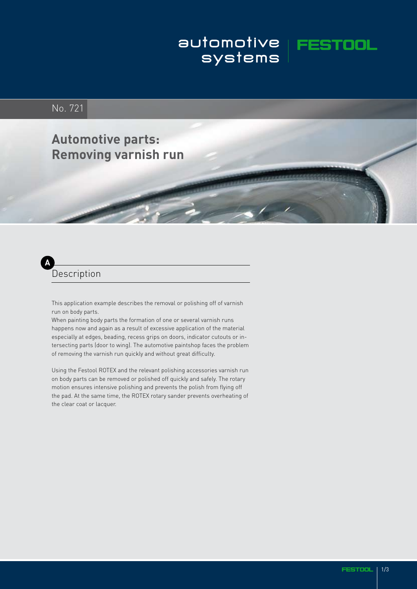# automotive **FESTOOL**<br>systems

# No. 721

# **Automotive parts: Removing varnish run**

#### **A** Description

This application example describes the removal or polishing off of varnish run on body parts.

When painting body parts the formation of one or several varnish runs happens now and again as a result of excessive application of the material especially at edges, beading, recess grips on doors, indicator cutouts or intersecting parts (door to wing). The automotive paintshop faces the problem of removing the varnish run quickly and without great difficulty.

Using the Festool ROTEX and the relevant polishing accessories varnish run on body parts can be removed or polished off quickly and safely. The rotary motion ensures intensive polishing and prevents the polish from flying off the pad. At the same time, the ROTEX rotary sander prevents overheating of the clear coat or lacquer.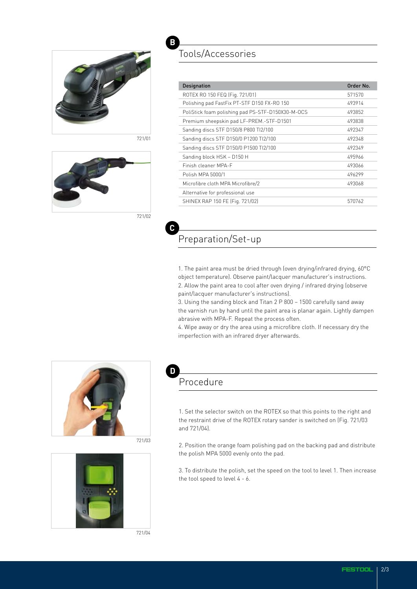

721/01



721/02

## Tools/Accessories

| <b>Designation</b>                                | Order No. |
|---------------------------------------------------|-----------|
| ROTEX RO 150 FEQ (Fig. 721/01)                    | 571570    |
| Polishing pad FastFix PT-STF D150 FX-RO 150       | 493914    |
| PoliStick foam polishing pad PS-STF-D150X30-M-OCS | 493852    |
| Premium sheepskin pad LF-PREM.-STF-D1501          | 493838    |
| Sanding discs STF D150/8 P800 Tl2/100             | 492347    |
| Sanding discs STF D150/0 P1200 Tl2/100            | 492348    |
| Sanding discs STF D150/0 P1500 Tl2/100            | 492349    |
| Sanding block HSK - D150 H                        | 495966    |
| Finish cleaner MPA-F                              | 493066    |
| Polish MPA 5000/1                                 | 496299    |
| Microfibre cloth MPA Microfibre/2                 | 493068    |
| Alternative for professional use                  |           |
| SHINEX RAP 150 FE (Fig. 721/02)                   | 570762    |

**C**

**B**

### Preparation/Set-up

1. The paint area must be dried through (oven drying/infrared drying, 60°C object temperature). Observe paint/lacquer manufacturer's instructions. 2. Allow the paint area to cool after oven drying / infrared drying (observe paint/lacquer manufacturer's instructions).

3. Using the sanding block and Titan 2 P 800 – 1500 carefully sand away the varnish run by hand until the paint area is planar again. Lightly dampen abrasive with MPA-F. Repeat the process often.

4. Wipe away or dry the area using a microfibre cloth. If necessary dry the imperfection with an infrared dryer afterwards.



721/03



#### **D** Procedure

1. Set the selector switch on the ROTEX so that this points to the right and the restraint drive of the ROTEX rotary sander is switched on (Fig. 721/03 and 721/04).

2. Position the orange foam polishing pad on the backing pad and distribute the polish MPA 5000 evenly onto the pad.

3. To distribute the polish, set the speed on the tool to level 1. Then increase the tool speed to level 4 - 6.

721/04